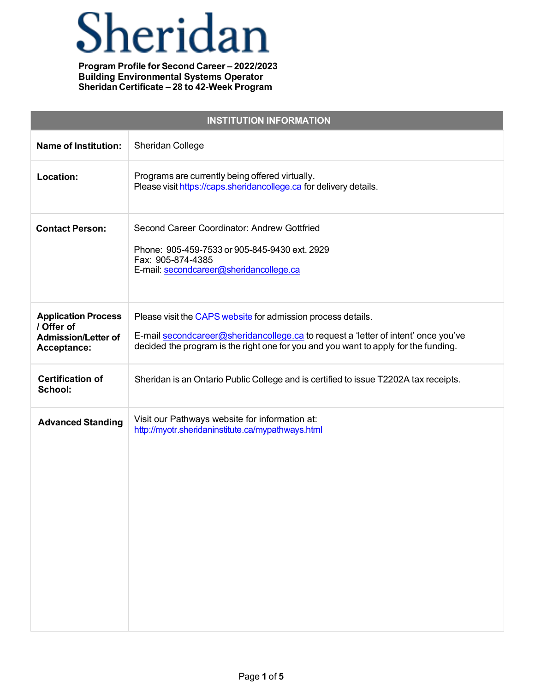# Sheridan

| <b>INSTITUTION INFORMATION</b>                                                        |                                                                                                                                                                                                                                           |  |
|---------------------------------------------------------------------------------------|-------------------------------------------------------------------------------------------------------------------------------------------------------------------------------------------------------------------------------------------|--|
| <b>Name of Institution:</b>                                                           | Sheridan College                                                                                                                                                                                                                          |  |
| Location:                                                                             | Programs are currently being offered virtually.<br>Please visit https://caps.sheridancollege.ca for delivery details.                                                                                                                     |  |
| <b>Contact Person:</b>                                                                | Second Career Coordinator: Andrew Gottfried<br>Phone: 905-459-7533 or 905-845-9430 ext. 2929<br>Fax: 905-874-4385<br>E-mail: secondcareer@sheridancollege.ca                                                                              |  |
| <b>Application Process</b><br>/ Offer of<br><b>Admission/Letter of</b><br>Acceptance: | Please visit the CAPS website for admission process details.<br>E-mail secondcareer@sheridancollege.ca to request a 'letter of intent' once you've<br>decided the program is the right one for you and you want to apply for the funding. |  |
| <b>Certification of</b><br>School:                                                    | Sheridan is an Ontario Public College and is certified to issue T2202A tax receipts.                                                                                                                                                      |  |
| <b>Advanced Standing</b>                                                              | Visit our Pathways website for information at:<br>http://myotr.sheridaninstitute.ca/mypathways.html                                                                                                                                       |  |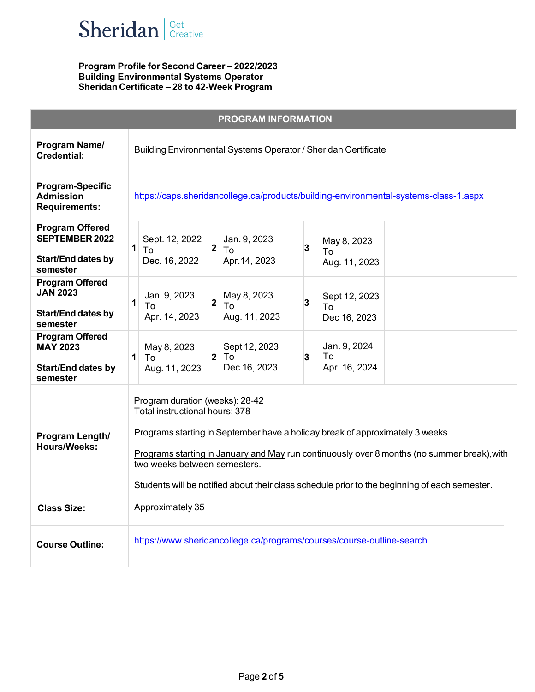

| <b>PROGRAM INFORMATION</b>                                                         |                                                                                                                                                                                                                                                                                                                                                                                    |  |
|------------------------------------------------------------------------------------|------------------------------------------------------------------------------------------------------------------------------------------------------------------------------------------------------------------------------------------------------------------------------------------------------------------------------------------------------------------------------------|--|
| Program Name/<br><b>Credential:</b>                                                | Building Environmental Systems Operator / Sheridan Certificate                                                                                                                                                                                                                                                                                                                     |  |
| <b>Program-Specific</b><br><b>Admission</b><br><b>Requirements:</b>                | https://caps.sheridancollege.ca/products/building-environmental-systems-class-1.aspx                                                                                                                                                                                                                                                                                               |  |
| <b>Program Offered</b><br>SEPTEMBER 2022<br>Start/End dates by<br>semester         | Sept. 12, 2022<br>Jan. 9, 2023<br>May 8, 2023<br>$2 \vert$<br>3<br>1<br>To<br>To<br>To<br>Dec. 16, 2022<br>Apr. 14, 2023<br>Aug. 11, 2023                                                                                                                                                                                                                                          |  |
| <b>Program Offered</b><br><b>JAN 2023</b><br>Start/End dates by<br>semester        | Jan. 9, 2023<br>May 8, 2023<br>Sept 12, 2023<br>$2 \vert$<br>3<br>$\mathbf{1}$<br>To<br>To<br>To<br>Apr. 14, 2023<br>Aug. 11, 2023<br>Dec 16, 2023                                                                                                                                                                                                                                 |  |
| <b>Program Offered</b><br><b>MAY 2023</b><br><b>Start/End dates by</b><br>semester | Jan. 9, 2024<br>May 8, 2023<br>Sept 12, 2023<br>$\mathbf{1}$<br>$2$ To<br>To<br>3<br>To.<br>Dec 16, 2023<br>Apr. 16, 2024<br>Aug. 11, 2023                                                                                                                                                                                                                                         |  |
| Program Length/<br><b>Hours/Weeks:</b>                                             | Program duration (weeks): 28-42<br>Total instructional hours: 378<br>Programs starting in September have a holiday break of approximately 3 weeks.<br>Programs starting in January and May run continuously over 8 months (no summer break), with<br>two weeks between semesters.<br>Students will be notified about their class schedule prior to the beginning of each semester. |  |
| <b>Class Size:</b>                                                                 | Approximately 35                                                                                                                                                                                                                                                                                                                                                                   |  |
| <b>Course Outline:</b>                                                             | https://www.sheridancollege.ca/programs/courses/course-outline-search                                                                                                                                                                                                                                                                                                              |  |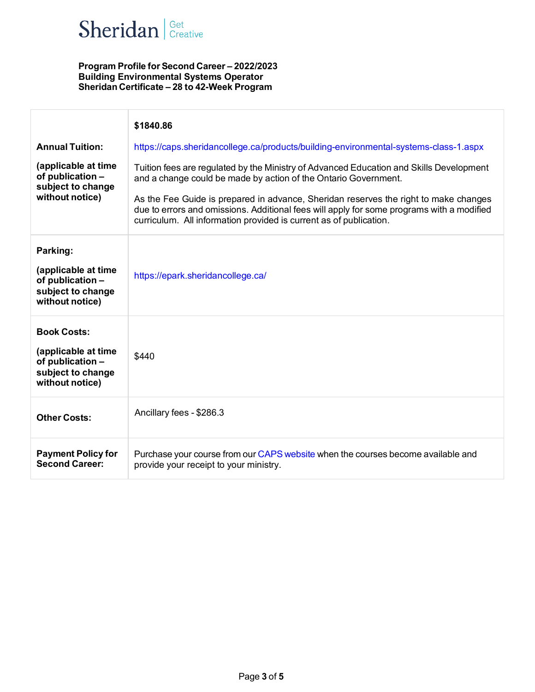

|                                                                                                       | \$1840.86                                                                                                                                                                                                                                               |
|-------------------------------------------------------------------------------------------------------|---------------------------------------------------------------------------------------------------------------------------------------------------------------------------------------------------------------------------------------------------------|
| <b>Annual Tuition:</b>                                                                                | https://caps.sheridancollege.ca/products/building-environmental-systems-class-1.aspx                                                                                                                                                                    |
| (applicable at time<br>of publication -<br>subject to change<br>without notice)                       | Tuition fees are regulated by the Ministry of Advanced Education and Skills Development<br>and a change could be made by action of the Ontario Government.                                                                                              |
|                                                                                                       | As the Fee Guide is prepared in advance, Sheridan reserves the right to make changes<br>due to errors and omissions. Additional fees will apply for some programs with a modified<br>curriculum. All information provided is current as of publication. |
| Parking:                                                                                              |                                                                                                                                                                                                                                                         |
| (applicable at time<br>of publication -<br>subject to change<br>without notice)                       | https://epark.sheridancollege.ca/                                                                                                                                                                                                                       |
| <b>Book Costs:</b><br>(applicable at time<br>of publication -<br>subject to change<br>without notice) | \$440                                                                                                                                                                                                                                                   |
| <b>Other Costs:</b>                                                                                   | Ancillary fees - \$286.3                                                                                                                                                                                                                                |
| <b>Payment Policy for</b><br><b>Second Career:</b>                                                    | Purchase your course from our CAPS website when the courses become available and<br>provide your receipt to your ministry.                                                                                                                              |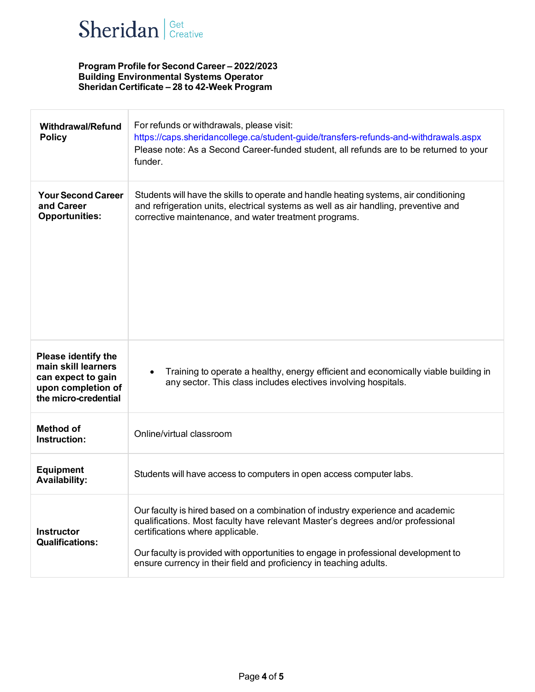

| <b>Withdrawal/Refund</b><br><b>Policy</b>                                                                             | For refunds or withdrawals, please visit:<br>https://caps.sheridancollege.ca/student-guide/transfers-refunds-and-withdrawals.aspx<br>Please note: As a Second Career-funded student, all refunds are to be returned to your<br>funder.                                                                                                                              |
|-----------------------------------------------------------------------------------------------------------------------|---------------------------------------------------------------------------------------------------------------------------------------------------------------------------------------------------------------------------------------------------------------------------------------------------------------------------------------------------------------------|
| <b>Your Second Career</b><br>and Career<br><b>Opportunities:</b>                                                      | Students will have the skills to operate and handle heating systems, air conditioning<br>and refrigeration units, electrical systems as well as air handling, preventive and<br>corrective maintenance, and water treatment programs.                                                                                                                               |
| <b>Please identify the</b><br>main skill learners<br>can expect to gain<br>upon completion of<br>the micro-credential | Training to operate a healthy, energy efficient and economically viable building in<br>any sector. This class includes electives involving hospitals.                                                                                                                                                                                                               |
| <b>Method of</b><br>Instruction:                                                                                      | Online/virtual classroom                                                                                                                                                                                                                                                                                                                                            |
| <b>Equipment</b><br><b>Availability:</b>                                                                              | Students will have access to computers in open access computer labs.                                                                                                                                                                                                                                                                                                |
| <b>Instructor</b><br><b>Qualifications:</b>                                                                           | Our faculty is hired based on a combination of industry experience and academic<br>qualifications. Most faculty have relevant Master's degrees and/or professional<br>certifications where applicable.<br>Our faculty is provided with opportunities to engage in professional development to<br>ensure currency in their field and proficiency in teaching adults. |